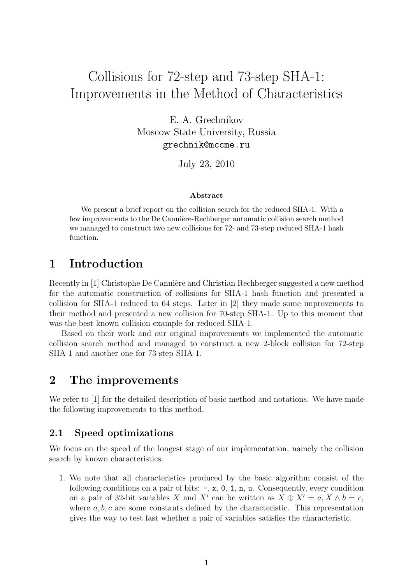# Collisions for 72-step and 73-step SHA-1: Improvements in the Method of Characteristics

E. A. Grechnikov Moscow State University, Russia grechnik@mccme.ru

July 23, 2010

#### Abstract

We present a brief report on the collision search for the reduced SHA-1. With a few improvements to the De Cannière-Rechberger automatic collision search method we managed to construct two new collisions for 72- and 73-step reduced SHA-1 hash function.

# 1 Introduction

Recently in [1] Christophe De Cannière and Christian Rechberger suggested a new method for the automatic construction of collisions for SHA-1 hash function and presented a collision for SHA-1 reduced to 64 steps. Later in [2] they made some improvements to their method and presented a new collision for 70-step SHA-1. Up to this moment that was the best known collision example for reduced SHA-1.

Based on their work and our original improvements we implemented the automatic collision search method and managed to construct a new 2-block collision for 72-step SHA-1 and another one for 73-step SHA-1.

## 2 The improvements

We refer to [1] for the detailed description of basic method and notations. We have made the following improvements to this method.

## 2.1 Speed optimizations

We focus on the speed of the longest stage of our implementation, namely the collision search by known characteristics.

1. We note that all characteristics produced by the basic algorithm consist of the following conditions on a pair of bits:  $-$ ,  $x$ ,  $0$ ,  $1$ ,  $n$ ,  $u$ . Consequently, every condition on a pair of 32-bit variables X and X' can be written as  $X \oplus X' = a, X \wedge b = c$ , where  $a, b, c$  are some constants defined by the characteristic. This representation gives the way to test fast whether a pair of variables satisfies the characteristic.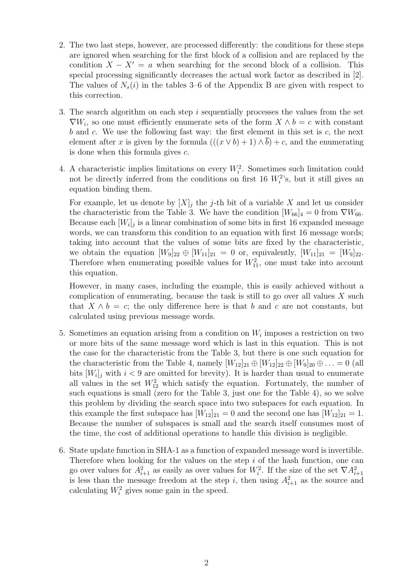- 2. The two last steps, however, are processed differently: the conditions for these steps are ignored when searching for the first block of a collision and are replaced by the condition  $X - X' = a$  when searching for the second block of a collision. This special processing significantly decreases the actual work factor as described in [2]. The values of  $N_s(i)$  in the tables 3–6 of the Appendix B are given with respect to this correction.
- 3. The search algorithm on each step  $i$  sequentially processes the values from the set  $\nabla W_i$ , so one must efficiently enumerate sets of the form  $X \wedge b = c$  with constant  $b$  and  $c$ . We use the following fast way: the first element in this set is  $c$ , the next element after x is given by the formula  $((x \vee b) + 1) \wedge \overline{b}) + c$ , and the enumerating is done when this formula gives  $c$ .
- 4. A characteristic implies limitations on every  $W_i^2$ . Sometimes such limitation could not be directly inferred from the conditions on first 16  $W_i^2$ 's, but it still gives an equation binding them.

For example, let us denote by  $[X]_i$  the j-th bit of a variable X and let us consider the characteristic from the Table 3. We have the condition  $[W_{66}]_4 = 0$  from  $\nabla W_{66}$ . Because each  $[W_i]_j$  is a linear combination of some bits in first 16 expanded message words, we can transform this condition to an equation with first 16 message words; taking into account that the values of some bits are fixed by the characteristic, we obtain the equation  $[W_9]_{22} \oplus [W_{11}]_{21} = 0$  or, equivalently,  $[W_{11}]_{21} = [W_9]_{22}$ . Therefore when enumerating possible values for  $W_{11}^2$ , one must take into account this equation.

However, in many cases, including the example, this is easily achieved without a complication of enumerating, because the task is still to go over all values  $X$  such that  $X \wedge b = c$ ; the only difference here is that b and c are not constants, but calculated using previous message words.

- 5. Sometimes an equation arising from a condition on  $W_i$  imposes a restriction on two or more bits of the same message word which is last in this equation. This is not the case for the characteristic from the Table 3, but there is one such equation for the characteristic from the Table 4, namely  $[W_{12}]_{21} \oplus [W_{12}]_{22} \oplus [W_9]_{20} \oplus \ldots = 0$  (all bits  $[W_i]_j$  with  $i < 9$  are omitted for brevity). It is harder than usual to enumerate all values in the set  $W_{12}^2$  which satisfy the equation. Fortunately, the number of such equations is small (zero for the Table 3, just one for the Table 4), so we solve this problem by dividing the search space into two subspaces for each equation. In this example the first subspace has  $[W_{12}]_{21} = 0$  and the second one has  $[W_{12}]_{21} = 1$ . Because the number of subspaces is small and the search itself consumes most of the time, the cost of additional operations to handle this division is negligible.
- 6. State update function in SHA-1 as a function of expanded message word is invertible. Therefore when looking for the values on the step  $i$  of the hash function, one can go over values for  $A_{i+1}^2$  as easily as over values for  $W_i^2$ . If the size of the set  $\nabla A_{i+1}^2$ is less than the message freedom at the step i, then using  $A_{i+1}^2$  as the source and calculating  $W_i^2$  gives some gain in the speed.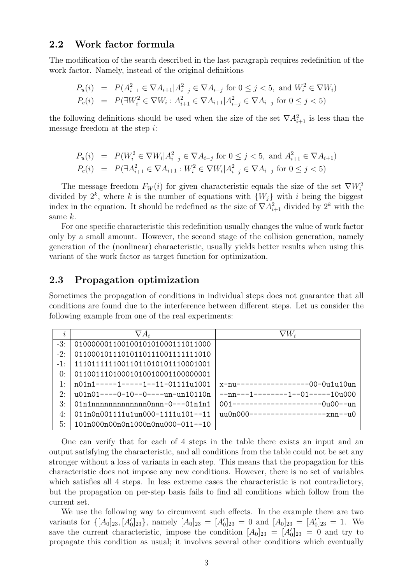### 2.2 Work factor formula

The modification of the search described in the last paragraph requires redefinition of the work factor. Namely, instead of the original definitions

$$
P_u(i) = P(A_{i+1}^2 \in \nabla A_{i+1} | A_{i-j}^2 \in \nabla A_{i-j} \text{ for } 0 \le j < 5, \text{ and } W_i^2 \in \nabla W_i)
$$
\n
$$
P_c(i) = P(\exists W_i^2 \in \nabla W_i : A_{i+1}^2 \in \nabla A_{i+1} | A_{i-j}^2 \in \nabla A_{i-j} \text{ for } 0 \le j < 5)
$$

the following definitions should be used when the size of the set  $\nabla A_{i+1}^2$  is less than the message freedom at the step i:

$$
P_u(i) = P(W_i^2 \in \nabla W_i | A_{i-j}^2 \in \nabla A_{i-j} \text{ for } 0 \le j < 5, \text{ and } A_{i+1}^2 \in \nabla A_{i+1})
$$
\n
$$
P_c(i) = P(\exists A_{i+1}^2 \in \nabla A_{i+1} : W_i^2 \in \nabla W_i | A_{i-j}^2 \in \nabla A_{i-j} \text{ for } 0 \le j < 5)
$$

The message freedom  $F_W(i)$  for given characteristic equals the size of the set  $\nabla W_i^2$ divided by  $2^k$ , where k is the number of equations with  $\{W_j\}$  with i being the biggest index in the equation. It should be redefined as the size of  $\nabla A_{i+1}^2$  divided by  $2^k$  with the same k.

For one specific characteristic this redefinition usually changes the value of work factor only by a small amount. However, the second stage of the collision generation, namely generation of the (nonlinear) characteristic, usually yields better results when using this variant of the work factor as target function for optimization.

### 2.3 Propagation optimization

Sometimes the propagation of conditions in individual steps does not guarantee that all conditions are found due to the interference between different steps. Let us consider the following example from one of the real experiments:

| $\overline{\imath}$ | $\nabla A_i$                       | $\nabla W_i$                        |
|---------------------|------------------------------------|-------------------------------------|
| $-3:$               | 01000000110010010101000111011000   |                                     |
| $-2$ :              | 01100010111010110111001111111010   |                                     |
| $-1$ .              | 111011111110011011010101110001001  |                                     |
| $\theta$ :          | 01100111010001010010001100000001   |                                     |
| 1:                  | n01n1-----1-----1--11-01111u1001   | x-nu-----------------00-0u1u10un    |
| 2:                  | $101n01---0-10---0---11n-110110n$  | $--nn---1------1---01---10u000$     |
| $\mathcal{R}$ :     | $01n1nnnnnnnnnnnnn0nnn-0---01n1n1$ | $001$ ---------------------0u00--un |
| 4:                  | $011n0n001111u1un000-1111u101-11$  |                                     |
| 5:                  | 101n000n00n0n1000n0nu000-011--10   |                                     |

One can verify that for each of 4 steps in the table there exists an input and an output satisfying the characteristic, and all conditions from the table could not be set any stronger without a loss of variants in each step. This means that the propagation for this characteristic does not impose any new conditions. However, there is no set of variables which satisfies all 4 steps. In less extreme cases the characteristic is not contradictory, but the propagation on per-step basis fails to find all conditions which follow from the current set.

We use the following way to circumvent such effects. In the example there are two variants for  $\{[A_0]_{23}, [A'_0]_{23}\}$ , namely  $[A_0]_{23} = [A'_0]_{23} = 0$  and  $[A_0]_{23} = [A'_0]_{23} = 1$ . We save the current characteristic, impose the condition  $[A_0]_{23} = [A'_0]_{23} = 0$  and try to propagate this condition as usual; it involves several other conditions which eventually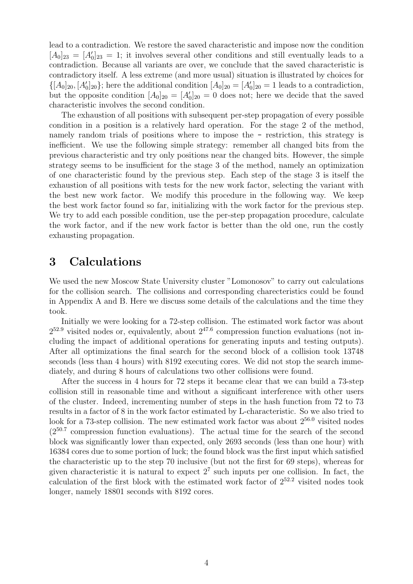lead to a contradiction. We restore the saved characteristic and impose now the condition  $[A_0]_{23} = [A'_0]_{23} = 1$ ; it involves several other conditions and still eventually leads to a contradiction. Because all variants are over, we conclude that the saved characteristic is contradictory itself. A less extreme (and more usual) situation is illustrated by choices for  $\{[A_0]_{20}, [A_0']_{20}\}$ ; here the additional condition  $[A_0]_{20} = [A_0']_{20} = 1$  leads to a contradiction, but the opposite condition  $[A_0]_{20} = [A_0']_{20} = 0$  does not; here we decide that the saved characteristic involves the second condition.

The exhaustion of all positions with subsequent per-step propagation of every possible condition in a position is a relatively hard operation. For the stage 2 of the method, namely random trials of positions where to impose the - restriction, this strategy is inefficient. We use the following simple strategy: remember all changed bits from the previous characteristic and try only positions near the changed bits. However, the simple strategy seems to be insufficient for the stage 3 of the method, namely an optimization of one characteristic found by the previous step. Each step of the stage 3 is itself the exhaustion of all positions with tests for the new work factor, selecting the variant with the best new work factor. We modify this procedure in the following way. We keep the best work factor found so far, initializing with the work factor for the previous step. We try to add each possible condition, use the per-step propagation procedure, calculate the work factor, and if the new work factor is better than the old one, run the costly exhausting propagation.

## 3 Calculations

We used the new Moscow State University cluster "Lomonosov" to carry out calculations for the collision search. The collisions and corresponding charecteristics could be found in Appendix A and B. Here we discuss some details of the calculations and the time they took.

Initially we were looking for a 72-step collision. The estimated work factor was about  $2^{52.9}$  visited nodes or, equivalently, about  $2^{47.6}$  compression function evaluations (not including the impact of additional operations for generating inputs and testing outputs). After all optimizations the final search for the second block of a collision took 13748 seconds (less than 4 hours) with 8192 executing cores. We did not stop the search immediately, and during 8 hours of calculations two other collisions were found.

After the success in 4 hours for 72 steps it became clear that we can build a 73-step collision still in reasonable time and without a significant interference with other users of the cluster. Indeed, incrementing number of steps in the hash function from 72 to 73 results in a factor of 8 in the work factor estimated by L-characteristic. So we also tried to look for a 73-step collision. The new estimated work factor was about  $2^{56.0}$  visited nodes (2<sup>50</sup>.<sup>7</sup> compression function evaluations). The actual time for the search of the second block was significantly lower than expected, only 2693 seconds (less than one hour) with 16384 cores due to some portion of luck; the found block was the first input which satisfied the characteristic up to the step 70 inclusive (but not the first for 69 steps), whereas for given characteristic it is natural to expect  $2<sup>7</sup>$  such inputs per one collision. In fact, the calculation of the first block with the estimated work factor of  $2^{52.2}$  visited nodes took longer, namely 18801 seconds with 8192 cores.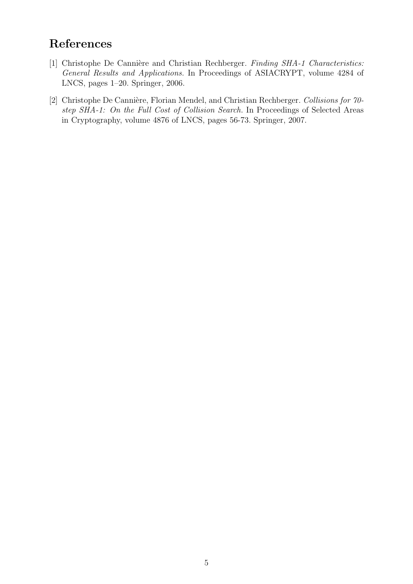# References

- [1] Christophe De Cannière and Christian Rechberger. Finding SHA-1 Characteristics: General Results and Applications. In Proceedings of ASIACRYPT, volume 4284 of LNCS, pages 1–20. Springer, 2006.
- [2] Christophe De Cannière, Florian Mendel, and Christian Rechberger. Collisions for  $70$ step SHA-1: On the Full Cost of Collision Search. In Proceedings of Selected Areas in Cryptography, volume 4876 of LNCS, pages 56-73. Springer, 2007.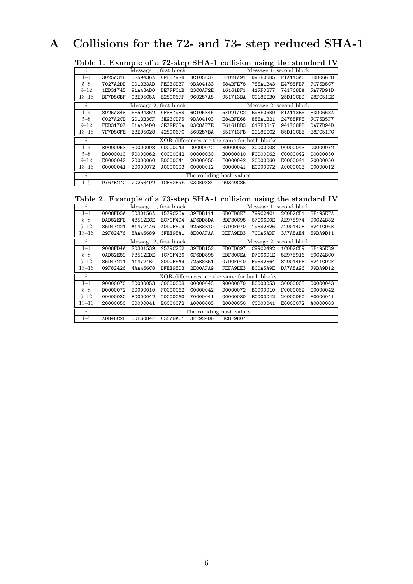# A Collisions for the 72- and 73- step reduced SHA-1

|  |  |  | Table 1. Example of a 72-step SHA-1 collision using the standard IV |  |
|--|--|--|---------------------------------------------------------------------|--|
|  |  |  |                                                                     |  |

| $\dot{i}$  |          | Message 1, first block |                        |                                              |          | Message 1, second block |                         |          |  |  |
|------------|----------|------------------------|------------------------|----------------------------------------------|----------|-------------------------|-------------------------|----------|--|--|
| $1 - 4$    | 3025A31B | 5F59436A               | 0F8879FB               | BC105B37                                     | EFD21A91 | D9BF0685                | F1A113A6                | 3DD066F8 |  |  |
| $5 - 8$    | 7027A2DD | DO1BB3AD               | FE93CD37               | 9BA04133                                     | 584BFE78 | 785A1B43                | E4788FB7                | FC75B5C7 |  |  |
| $9 - 12$   | 1ED31745 | 91A434B0               | DE7FFC1B               | 23C8AF2E                                     | 16161BF1 | 41FFD877                | 741768BA                | FA77D91D |  |  |
| $13 - 16$  | BF7D8CBF | 03E95C5A               | E28006FF               | 960257A8                                     | 951713BA | C918ECB0                | 25D1CCBD                | 28FC51EE |  |  |
| $\imath$   |          |                        | Message 2, first block |                                              |          |                         | Message 2, second block |          |  |  |
| $1 - 4$    | 8025A348 | 6F594362               | 0F8879B8               | 6C105B45                                     | 5FD21AC2 | E9BF068D                | F1A113E5                | EDD0668A |  |  |
| $5 - 8$    | CO27A2CD | 201BB3CF               | 3E93CD75               | 9BA04103                                     | E84BFE68 | 885A1B21                | 24788FF5                | FC75B5F7 |  |  |
| $9 - 12$   | FED31707 | B1A434D0               | 3E7FFC5A               | 03C8AF7E                                     | F6161BB3 | 61FFD817                | 941768FB                | DA77D94D |  |  |
| $_{13-16}$ | 7F7D8CFE | E3E95C28               | 428006FC               | 560257BA                                     | 551713FB | 2918ECC2                | 85D1CCBE                | E8FC51FC |  |  |
| $\dot{i}$  |          |                        |                        | XOR-differences are the same for both blocks |          |                         |                         |          |  |  |
| $1 - 4$    | B0000053 | 30000008               | 00000043               | D0000072                                     | B0000053 | 30000008                | 00000043                | D0000072 |  |  |
| $5 - 8$    | B0000010 | F0000062               | C0000042               | 00000030                                     | B0000010 | F0000062                | C0000042                | 00000030 |  |  |
| $9 - 12$   | E0000042 | 20000060               | E0000041               | 20000050                                     | E0000042 | 20000060                | E0000041                | 20000050 |  |  |
| $_{13-16}$ | C0000041 | E0000072               | A0000003               | C0000012                                     | C0000041 | E0000072                | A0000003                | C0000012 |  |  |
| $\dot{i}$  |          |                        |                        | The colliding hash values                    |          |                         |                         |          |  |  |
| $1 - 5$    | 9767B27C | 20258492               | 1CB52F9E               | C3DE9884                                     | 90340C86 |                         |                         |          |  |  |

Table 2. Example of a 73-step SHA-1 collision using the standard IV

|                     |                                                   |          |                        |                                              |          | o        |                         |          |
|---------------------|---------------------------------------------------|----------|------------------------|----------------------------------------------|----------|----------|-------------------------|----------|
| $\imath$            |                                                   |          | Message 1, first block |                                              |          |          | Message 1, second block |          |
| $1 - 4$             | 0008FD3A                                          | 5030156A | 1579C26A               | 39FDB111                                     | 6D0ED8E7 | 799C24C1 | 2COD2CB1                | 8F195EFA |
| $5 - 8$             | DAD82EFB                                          | 43512ECE | EC7CF4D4               | AF6DD8DA                                     | 3DF30C98 | 67C66D0E | AE975974                | 90C24B82 |
| $9 - 12$            | 85D47221                                          | A14721A6 | AODOF5C9               | 925B8E10                                     | 07D0F970 | 19882826 | A200140F                | 6241CD6E |
| $13 - 16$           | 29F82476                                          | 8AA46689 | 3FEE95A1               | 8E00AFAA                                     | DEFA9EB3 | 7C0A5ADF | 3A7A8AE4                | 59BA9D11 |
| $\mathbf{r}$        | Message 2, first block<br>Message 2, second block |          |                        |                                              |          |          |                         |          |
| $1 - 4$             | 9008FD4A                                          | E0301539 | 2579C262               | 39FDB152                                     | FD0ED897 | C99C2492 | 1COD2CB9                | 8F195EB9 |
| $5 - 8$             | 0AD82E89                                          | F3512EDE | 1C7CF4B6               | 6F6DD898                                     | EDF30CEA | D7C66D1E | 5E975916                | 50C24BC0 |
| $9 - 12$            | 85D47211                                          | 414721E4 | 80D0F5A9               | 725B8E51                                     | 07D0F940 | F9882864 | 8200146F                | 8241CD2F |
| $_{13-16}$          | 09F82426                                          | 4AA466C8 | DFEE95D3               | 2E00AFA9                                     | FEFA9EE3 | BCOA5A9E | DA7A8A96                | F9BA9D12 |
| $\mathbf{r}$        |                                                   |          |                        | XOR-differences are the same for both blocks |          |          |                         |          |
| $1 - 4$             | 90000070                                          | B0000053 | 30000008               | 00000043                                     | 90000070 | B0000053 | 30000008                | 00000043 |
| $5 - 8$             | D0000072                                          | B0000010 | F0000062               | C0000042                                     | D0000072 | B0000010 | F0000062                | C0000042 |
| $9 - 12$            | 00000030                                          | E0000042 | 20000060               | E0000041                                     | 00000030 | E0000042 | 20000060                | E0000041 |
| $13 - 16$           | 20000050                                          | C0000041 | E0000072               | A0000003                                     | 20000050 | C0000041 | E0000072                | A0000003 |
| $\boldsymbol{\eta}$ |                                                   |          |                        | The colliding hash values                    |          |          |                         |          |
| $1 - 5$             | AD84BC2B                                          | 50E6084F | 03578AC1               | 3FE924DD                                     | BC8F9B07 |          |                         |          |
|                     |                                                   |          |                        |                                              |          |          |                         |          |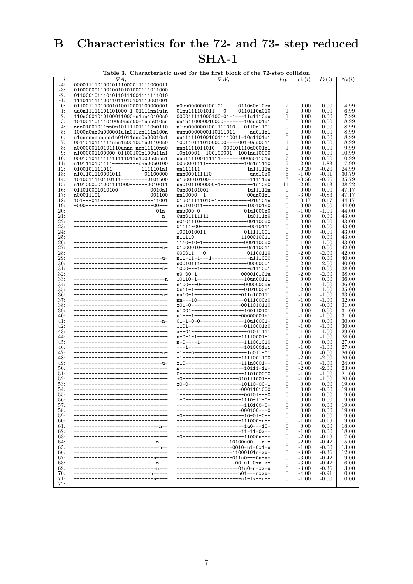### $\, {\bf B}$ Characteristics for the 72- and 73- step reduced  $SHA-1$

|                | Table 3. Characteristic used for the first block of the 72-step collision |                                                                                  |                   |                    |                    |                |  |  |  |
|----------------|---------------------------------------------------------------------------|----------------------------------------------------------------------------------|-------------------|--------------------|--------------------|----------------|--|--|--|
| i              | $\nabla A_i$                                                              | $\nabla W_i$                                                                     | $F_W$             | $P_u(i)$           | $P_c(i)$           | $N_s(i)$       |  |  |  |
| $-4:$          | 00001111010010111000011111000011                                          |                                                                                  |                   |                    |                    |                |  |  |  |
| -3:            | 01000000110010010101000111011000                                          |                                                                                  |                   |                    |                    |                |  |  |  |
| $-2:$<br>$-1:$ | 01100010111010110111001111111010<br>111011111110011011010101110001001     |                                                                                  |                   |                    |                    |                |  |  |  |
| 0:             | 01100111010001010010001100000001                                          | n0uu000000100101-----0110n0u10uu                                                 | $\overline{2}$    | 0.00               | 0.00               | 4.99           |  |  |  |
| 1:             | uu0n111111101101000-1-01111nn1u1n                                         | 01nu111101011---0----0110110u010                                                 | 1                 | 0.00               | 0.00               | 6.99           |  |  |  |
| 2:             | 110n0001010100011000-n1nn10100n0                                          | 000011111000100-01-1---11u1110uu                                                 | 1                 | 0.00               | 0.00               | 7.99           |  |  |  |
| 3:             | 101001101110100n0uun00-1unn010un                                          | un1u110000010000-------10nuu01u1                                                 | 0                 | 0.00               | 0.00               | 8.99           |  |  |  |
| 4:             | nnn01001011nn0u101111011110u0110                                          | n1uu0000001001111010---0110u1101                                                 | 0                 | 0.00               | 0.00               | 8.99           |  |  |  |
| 5:             | 1000n0un0u000001u1n011un111n100n<br>n1unnnnnnnnnn1n01011nnu0n00010u1      | uunu0000000110111011-----nu011n1                                                 | 0                 | 0.00               | 0.00               | 8.99           |  |  |  |
| 6:<br>7:       | 0011010111111nuu1u001001u01100u0                                          | uu11111010010011110011-10n1101u1<br>10011011101000000----001-0uu0011             | 0<br>1            | 0.00<br>0.00       | 0.00<br>0.00       | 8.99<br>8.99   |  |  |  |
| 8:             | n000000110101110unnn-nnn11110nu0                                          | nnn1111011010---000101110u0001n1                                                 | 1                 | 0.00               | 0.00               | 9.99           |  |  |  |
| 9:             | n1000001100000-01100100n100u11n1                                          | 10n10001--100100001--1001nu10000                                                 | $\mathbf{0}$      | 0.00               | 0.00               | 10.99          |  |  |  |
| 10:            | 000101011111111111011n1000n0unu1                                          | uun111100111111-------000n01101u                                                 | 7                 | 0.00               | 0.00               | 10.99          |  |  |  |
| 11:            | $n101110101111------$ unn00u0100                                          | 00u0001111-------------10n1n1110                                                 | 9                 | $-2.00$            | $-1.83$            | 17.99          |  |  |  |
| 12:            | 0100101111011----------1111101n1                                          | un111111----------------1n11111u                                                 | 6                 | $-0.20$            | $-0.20$            | 24.99          |  |  |  |
| 13:<br>14:     | n101101110001011-------01100000<br>1010011110110111--------0101u00        | nnn000111110-------------unu10u0<br>u1u00010100--------------11111uu             | 6<br>3            | $-1.00$<br>-0.56   | $-0.91$<br>-0.56   | 30.79<br>35.79 |  |  |  |
| 15:            | n101000001001111000------0010011                                          | un01011000000-1-----------1n10n0                                                 | 11                | $-2.05$            | $-0.13$            | 38.22          |  |  |  |
| 16:            | 011010001010100-----------0010n1                                          | 0un00101001-------------1u11111n                                                 | $\overline{0}$    | 0.00               | 0.00               | 47.17          |  |  |  |
| 17:            | n00011101-----------------001100                                          | nn10000--1--------------00un01n1                                                 | $\overline{0}$    | -3.00              | -0.83              | 47.17          |  |  |  |
| 18:            | 101---011-------------------11001                                         | 01u011111010-1-----------010101n                                                 | 0                 | -0.17              | -0.17              | 44.17          |  |  |  |
| 19:            | -000------------------------00---                                         | nn0101011---------------100101n0                                                 | 0                 | 0.00               | 0.00               | 44.00          |  |  |  |
| 20:<br>21:     | ----------------------------01n-                                          | nnu000-0---------------01u1000n0<br>0un01111111-------------1u0111n0             | 0<br>0            | -1.00<br>0.00      | -1.00<br>0.00      | 44.00<br>43.00 |  |  |  |
| 22:            | ---------------------------------                                         | n0101110----------------001100u0                                                 | 0                 | 0.00               | 0.00               | 43.00          |  |  |  |
| 23:            | --------------------------------                                          | 01111-00------------------0010111                                                | 0                 | 0.00               | 0.00               | 43.00          |  |  |  |
| 24:            |                                                                           | 1001010011-------------011111001                                                 | 0                 | 0.00               | $-0.00$            | 43.00          |  |  |  |
| 25:            | ---------------------------------                                         | n11110----------------1100010011                                                 | 0                 | 0.00               | 0.00               | 43.00          |  |  |  |
| 26:            | --------------------------------                                          | 1110-10-1--------------0001100u0                                                 | 0                 | $-1.00$            | $-1.00$            | 43.00          |  |  |  |
| 27:<br>28:     | -------------------------------  -<br>---------------------------------   | 01000010----------------0n110011<br>000011---0--------------01100110             | 0<br>0            | 0.00<br>$-2.00$    | 0.00<br>$-2.00$    | 42.00<br>42.00 |  |  |  |
| 29:            | ------------------------------  -                                         | n11-11-1----1---------------n111000                                              | $\theta$          | 0.00               | 0.00               | 40.00          |  |  |  |
| 30:            | --------------------------------                                          | u0010111---------------00000001                                                  | 0                 | $-2.00$            | $-2.00$            | 40.00          |  |  |  |
| 31:            |                                                                           | 1000---1--------------------u111001                                              | 0                 | 0.00               | 0.00               | 38.00          |  |  |  |
| 32:            | --------------------------------                                          | u0-00-1---------------000010101u                                                 | 0                 | $-2.00$            | $-2.00$            | 38.00          |  |  |  |
| 33.            | --------------------------------                                          | 10110-1----------------10un00111                                                 | 0                 | 0.00               | 0.00               | 36.00          |  |  |  |
| 34:<br>35:     | --------------------------------                                          | n100---0---------------0000000un<br>$0x11-1-----$ ---------------------0101000n1 | 0<br>0            | $-1.00$<br>$-2.00$ | $-1.00$<br>-1.00   | 36.00<br>35.00 |  |  |  |
| 36:            |                                                                           | nu10-1----------------011u100111                                                 | 0                 | $-1.00$            | $-1.00$            | 33.00          |  |  |  |
| 37:            | --------------------------------                                          | nn---10----------------0111000u0                                                 | 0                 | $-1.00$            | -1.00              | 32.00          |  |  |  |
| 38:            | -------------------------                                                 | x01-0-----------------0011010110                                                 | 0                 | 0.00               | $-0.00$            | 31.00          |  |  |  |
| 39.            |                                                                           | u1001------------------100110101                                                 | 0                 | 0.00               | $-0.00$            | 31.00          |  |  |  |
| 40:<br>41:     | --------------------------------                                          | u1---1----------------00000001n1<br>$01-1-0-0-----10u10001-$                     | $\theta$<br>0     | $-1.00$<br>0.00    | $-1.00$<br>0.00    | 31.00<br>30.00 |  |  |  |
| 42:            | -------------------------------                                           | 1101-------------------0110001u0                                                 | 0                 | $-1.00$            | $-1.00$            | 30.00          |  |  |  |
| 43.            |                                                                           | $x-01$ --------------------01011111                                              | 0                 | $-1.00$            | $-1.00$            | 29.00          |  |  |  |
| 44:            | ---------------------------------                                         | n-0-1-1----------------11110001-1                                                | $\theta$          | $-1.00$            | $-1.00$            | 28.00          |  |  |  |
| 45:            | ---------------------------------                                         | n-0----1----------------111001010                                                | 0                 | 0.00               | 0.00               | 27.00          |  |  |  |
| 46:            | --------------------------------                                          | ---1-------------------1010001u1<br>$-1---0------------1n011-01$                 | 0                 | $-1.00$            | $-1.00$            | 27.00          |  |  |  |
| 47:<br>48:     | --------------------------------                                          | $-1$ ---------------------1111001100                                             | 0<br>0            | 0.00<br>$-2.00$    | $-0.00$<br>$-2.00$ | 26.00<br>26.00 |  |  |  |
| 49:            |                                                                           | x10-------------------111n0001--                                                 | $\theta$          | $-1.00$            | $-1.00$            | 24.00          |  |  |  |
| 50:            | --------------------------------                                          | n----------------------10111-1n-                                                 | 0                 | $-2.00$            | $-2.00$            | 23.00          |  |  |  |
| 51:            | --------------------------------                                          | 0----------------------110100000                                                 | $\overline{0}$    | $-1.00$            | $-1.00$            | 21.00          |  |  |  |
| 52.            | -----------------------------                                             | $x0$ -------------------010111001--                                              | $\mathbf{0}$      | -1.00              | $-1.00$            | 20.00          |  |  |  |
| 53:            |                                                                           | x0-0------------------10110-00-1                                                 | $\mathbf{0}$      | 0.00               | 0.00               | 19.00          |  |  |  |
| 54:<br>55:     |                                                                           | ----------------------0001101000<br>1----------------------00101---0             | $\theta$<br>0     | 0.00<br>0.00       | -0.00<br>0.00      | 19.00<br>19.00 |  |  |  |
| 56:            |                                                                           | $1-0$ -------------------1110-11-0-                                              | 0                 | 0.00               | 0.00               | 19.00          |  |  |  |
| 57:            |                                                                           | -----------------------110100-0-                                                 | 0                 | 0.00               | 0.00               | 19.00          |  |  |  |
| 58:            |                                                                           | ----------------------000100---0                                                 | 0                 | 0.00               | 0.00               | 19.00          |  |  |  |
| 59.            |                                                                           | $-0$ ---------------------10-01-0--                                              | $\overline{0}$    | 0.00               | 0.00               | 19.00          |  |  |  |
| 60:<br>61:     | ------- <u>n</u> --                                                       | ----------------------111000-n--<br>-----------------------1u0---10-             | 0<br>0            | $-1.00$<br>0.00    | -0.19<br>0.00      | 19.00<br>18.00 |  |  |  |
| 62:            |                                                                           | ------------------11-11-0x--                                                     | $\overline{0}$    | $-1.00$            | 0.00               | 18.00          |  |  |  |
| 63.            |                                                                           | $-0$ ---------------------11000n--x                                              | $\theta$          | $-2.00$            | $-0.19$            | 17.00          |  |  |  |
| 64:            | ----------- <u>n</u> ---                                                  | ------------------10100u00---n-x                                                 | $\theta$          | $-2.00$            | $-0.42$            | 15.00          |  |  |  |
| 65:            | --------------------                                                      | -------------------0010-u1-0x1-u                                                 | $\mathbf{0}$      | $-1.00$            | $-0.00$            | 13.00          |  |  |  |
| 66:<br>67:     | ---------------- <u>n</u> ----                                            | ---------------11000101n-xx-<br>-------------------011u0---0n-xx                 | 0<br>$\mathbf{0}$ | $-3.00$<br>$-3.00$ | $-0.36$<br>$-0.42$ | 12.00<br>9.00  |  |  |  |
| 68:            | ---------------- <u>n</u> ---                                             | ----------------00-u1-0xn-ux                                                     | 0                 | $-3.00$            | $-0.42$            | 6.00           |  |  |  |
| 69:            | ----------------- <u>n</u> ---                                            | ---------------01u0-n-xx-u                                                       | $\theta$          | $-3.00$            | $-0.36$            | 3.00           |  |  |  |
| 70:            | --------- <u>n</u> -----                                                  | -----------------u01---nxxx-                                                     | $\overline{0}$    | $-4.00$            | $-0.91$            | 0.00           |  |  |  |
| 71:            | ------------ <u>n</u> ----                                                | --------------u1-1x--u--                                                         | $\theta$          | $-1.00$            | $-0.00$            | 0.00           |  |  |  |
| 72:            |                                                                           |                                                                                  |                   |                    |                    |                |  |  |  |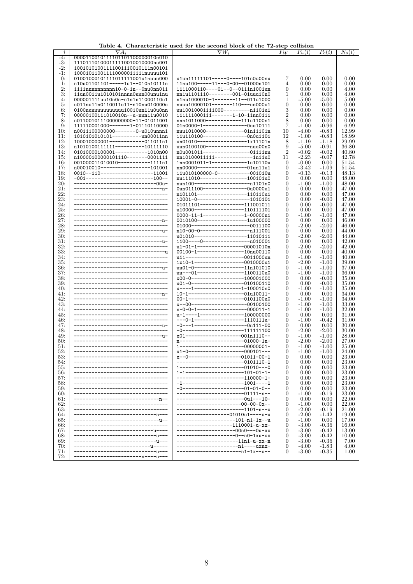| $\dot{\imath}$ | $\nabla A_i$                      | $\nabla W_i$                                                          | $F_W$          | $P_u(i)$ | $P_c(i)$ | $N_s(i)$ |
|----------------|-----------------------------------|-----------------------------------------------------------------------|----------------|----------|----------|----------|
| -4:            | 0000110010111101101100000010n010  |                                                                       |                |          |          |          |
| $-3:$          | 111011101000111110010010000nu001  |                                                                       |                |          |          |          |
| $-2:$          | 10010101001111001110010111n00101  |                                                                       |                |          |          |          |
| -1:            | 100010110011110000011111nuuuu101  |                                                                       |                |          |          |          |
| 0:             | 01001000101111011111001u1nuuu000  |                                                                       | 7              | 0.00     | 0.00     | 0.00     |
|                |                                   | u1un111111101-----0----101n0u00nu<br>11nu100-----11---0-00--01000n101 |                |          |          |          |
| 1:             | n10u01101101-----1u1--010n10111n  |                                                                       | 4              | 0.00     | 0.00     | 0.00     |
| 2:             | 1111nnnnnnnnn10-0-1n--0nu0nn011   | $1111000110---01---0---0111n1001un$                                   | 0              | 0.00     | 0.00     | 4.00     |
| 3:             | 11un0011u1010101nnnn0uun00unu1nu  | nn1u1101110--------001-01uuu10n0                                      | 1              | 0.00     | 0.00     | 4.00     |
| 4:             | 000001111uu10n0n-n1n1n11000110u1  | n1nu1000010-1-------11--011u1000                                      | 1              | -5.00    | $-5.00$  | 5.00     |
| 5:             | u011nu11n0110011u11-n10nu010000u  | nuuu10000101-------110---un000u1                                      | 0              | 0.00     | 0.00     | 0.00     |
| 6:             | 0100nuuuuuuuuuuu10010un11u0u0nn   | uu10010001111000---------n1101u1                                      | 3              | 0.00     | 0.00     | 0.00     |
| 7:             | 00000100111010010n--u-nun11u0010  | 111111000111-------1-10-11nn0111                                      | $\overline{2}$ | 0.00     | 0.00     | 0.00     |
| 8:             | n0110010111000000000-11-01011001  | nnn1011000------------111u1100n1                                      | 8              | 0.00     | 0.00     | 0.00     |
| 9:             | 111110001000-------1-01110110000  | 01n0000-1---------------0uu10111                                      | $\overline{7}$ | $-1.00$  | $-0.96$  | 6.99     |
| 10:            | n0011100000000-------0-u010unnn1  | nuu1010000-------------01n11101n                                      | 10             | $-4.00$  | $-0.83$  | 12.99    |
| 11:            | 1010101010101-----------un00011nn | 11u110100---------------0n0u1101                                      | 12             | $-1.00$  | $-0.83$  | 18.99    |
| 12:            | 100010000001------------011011n1  | un01010-----------------1x11101n                                      | 8              | -1.19    | $-1.18$  | 29.99    |
| 13:            |                                   |                                                                       | 9              | $-5.00$  | $-0.91$  | 36.80    |
|                | n1010100111111----------10111110  | uun0100100----------------nuu00n0                                     | $\overline{2}$ |          |          |          |
| 14:            | 01010000100001-----------1010n00  | n0u001011----------------01111nu                                      |                | $-0.02$  | $-0.02$  | 40.80    |
| 15:            | n10000100000101110-------0001111  | nn10100011111-------------1n11u0                                      | 11             | $-2.23$  | $-0.07$  | 42.78    |
| 16:            | 001000011010010-----------1111n1  | 1nn0001011-1------------1u10110u                                      | 0              | $-0.00$  | 0.00     | 51.54    |
| 17:            | $n00010010-------------101001$    | nn00000-----------------01un11u1                                      | 0              | -3.42    | $-1.09$  | 51.54    |
| 18:            | 0010--110-------------------11001 | 11u010100000-0-----------001010u                                      | 0              | $-0.13$  | $-0.13$  | 48.13    |
| 19:            | -001------------------------100-- | nu111010----------------100101u0                                      | 0              | 0.00     | 0.00     | 48.00    |
| 20:            | ---------------------------00u-   | nun100------------------------1101n0                                  | 0              | $-1.00$  | $-1.00$  | 48.00    |
| 21:            |                                   | 0un011100--------------0u0000u1                                       | 0              | 0.00     | 0.00     | 47.00    |
| 22:            | --------------------------------- | n101101-----------------110110u1                                      | 0              | 0.00     | 0.00     | 47.00    |
| 23:            |                                   | 10001-0------------------1010101                                      | 0              | 0.00     | $-0.00$  | 47.00    |
| 24:            |                                   | 01011101---------------111001011                                      | 0              | 0.00     | $-0.00$  | 47.00    |
| 25:            |                                   | u10000-----------------110111101                                      | 0              | 0.00     | 0.00     | 47.00    |
| 26:            |                                   | 0000-11-1--------------1-00000n1                                      | 0              | -1.00    | $-1.00$  | 47.00    |
|                |                                   |                                                                       |                |          |          |          |
| 27:            |                                   | 0010100-----------------1u100000                                      | 0              | 0.00     | 0.00     | 46.00    |
| 28:            | --------------------------------  | 01000--------------------0011100                                      | 0              | $-2.00$  | $-2.00$  | 46.00    |
| 29:            |                                   | n10-00-0-------------------n111001                                    | 0              | 0.00     | 0.00     | 44.00    |
| 30:            |                                   | u01010------------------11010111                                      | 0              | $-2.00$  | $-2.00$  | 44.00    |
| 31:            |                                   | $1100---0---------n010001$                                            | $\overline{0}$ | 0.00     | 0.00     | 42.00    |
| 32:            |                                   | u1-01-1----------------00001010n                                      | 0              | $-2.00$  | $-2.00$  | 42.00    |
| 33.            | --------------------------------  | 00100-1----------------10nu00110                                      | 0              | 0.00     | 0.00     | 40.00    |
| 34:            |                                   | u11--------------------0011000un                                      | 0              | $-1.00$  | $-1.00$  | 40.00    |
| 35:            | --------------------------------  | 1x10-1-----------------0010000u1                                      | 0              | $-2.00$  | $-1.00$  | 39.00    |
| 36:            |                                   | uu01-0-----------------11n101010                                      | 0              | $-1.00$  | $-1.00$  | 37.00    |
| 37:            | --------------------------------- | uu---01----------------1100110u0                                      | 0              | $-1.00$  | $-1.00$  | 36.00    |
|                |                                   |                                                                       |                | 0.00     |          |          |
| 38:            |                                   | x00-0------------------100001000                                      | 0              |          | $-0.00$  | 35.00    |
| 39:            |                                   | u01-0------------------010100110                                      | $\overline{0}$ | 0.00     | $-0.00$  | 35.00    |
| 40:            |                                   | u----1----------------1-100010n0                                      | 0              | $-1.00$  | $-1.00$  | 35.00    |
| 41:            |                                   | 10-1-------------------01u10011-                                      | 0              | 0.00     | 0.00     | 34.00    |
| 42:            |                                   | 00-1-------------------0101100u0                                      | 0              | $-1.00$  | $-1.00$  | 34.00    |
| 43.            |                                   | x--00-------------------00100100                                      | 0              | $-1.00$  | $-1.00$  | 33.00    |
| 44:            |                                   | n-0-0-1------------------000011-1                                     | 0              | $-1.00$  | $-1.00$  | 32.00    |
| 45:            |                                   | u-1----1---------------100000000                                      | 0              | 0.00     | 0.00     | 31.00    |
| 46:            |                                   | ---0-1-----------------1110111u-                                      | 0              | $-1.00$  | $-0.42$  | 31.00    |
| 47:            |                                   | $-0---1------------On111-00$                                          | 0              | 0.00     | 0.00     | 30.00    |
| 48:            |                                   | $-0$ ---------------------111111100                                   | 0              | $-2.00$  | $-2.00$  | 30.00    |
| 49.            |                                   | x01-------------------001n1110--                                      | 0              | $-1.00$  | $-1.00$  | 28.00    |
| 50:            |                                   | $n$ ----------------------01000-1n-                                   | 0              | $-2.00$  | $-2.00$  | 27.00    |
| 51:            |                                   | 1---------------------00000001-                                       | $\overline{0}$ | $-1.00$  | $-1.00$  | 25.00    |
|                | --------------------------------  | x1-0--------------------000101---                                     | 0              | $-1.00$  | $-1.00$  |          |
| 52:            |                                   |                                                                       |                |          |          | 24.00    |
| 53:            |                                   | $x=-0$ -------------------01011-00-1                                  | 0              | 0.00     | 0.00     | 23.00    |
| 54:            |                                   | --------------------0101110-1                                         | 0              | 0.00     | 0.00     | 23.00    |
| 55:            |                                   | 1----------------------01010---0                                      | $\overline{0}$ | 0.00     | 0.00     | 23.00    |
| 56:            |                                   | $1 - 1 - - - - - - - - - - - - - - - - - - - - - - 101 - 01 - 1 -$    | 0              | 0.00     | 0.00     | 23.00    |
| 57:            |                                   | ----------------------110000-1-                                       | 0              | 0.00     | 0.00     | 23.00    |
| 58:            |                                   | $-1$ ----------------------1001----1                                  | $\overline{0}$ | 0.00     | 0.00     | 23.00    |
| 59.            |                                   | $-0$ ---------------------01-01-0--                                   | $\overline{0}$ | 0.00     | 0.00     | 23.00    |
| 60:            |                                   | -----------------------01111-n--                                      | $\overline{0}$ | $-1.00$  | $-0.19$  | 23.00    |
| 61:            | --------n--                       | -------------------0u1---10-                                          | $\overline{0}$ | 0.00     | 0.00     | 22.00    |
| 62:            |                                   | -------------------00-00-0x--                                         | $\overline{0}$ | $-1.00$  | 0.00     | 22.00    |
| 63.            |                                   | --------------------1101-n--x                                         | $\overline{0}$ | $-2.00$  | $-0.19$  | 21.00    |
| 64:            |                                   | ------------------01010u1----u-u                                      | $\overline{0}$ | $-2.00$  | $-1.42$  | 19.00    |
| 65:            | ---------------u--                | ----------------101-n1-1x--u                                          | $\overline{0}$ | $-1.00$  | 0.00     | 17.00    |
| 66:            |                                   |                                                                       | $\overline{0}$ | $-3.00$  |          | 16.00    |
|                |                                   | ----------------1110001-u-xx-                                         |                |          | $-0.36$  |          |
| 67:            | ----------u----                   | -----------------00n0---0u-xx                                         | 0              | $-3.00$  | $-0.42$  | 13.00    |
| 68:            |                                   | ---------------0--n0-1xu-ux                                           | $\overline{0}$ | $-3.00$  | $-0.42$  | 10.00    |
| 69:            | ----------------u---              | -----------------11n1-u-xx-n                                          | $\overline{0}$ | $-3.00$  | $-0.36$  | 7.00     |
| 70:            | ----u-----                        | ------------n1----uxnx-                                               | 0              | $-4.00$  | $-1.83$  | 4.00     |
| 71:            | -------------------               | -------------------n1-1x--u--                                         | $\mathbf{0}$   | $-3.00$  | $-0.35$  | 1.00     |
| 72:            |                                   |                                                                       |                |          |          |          |

#### Table 4. Characteristic used for the second block of the 72-step collision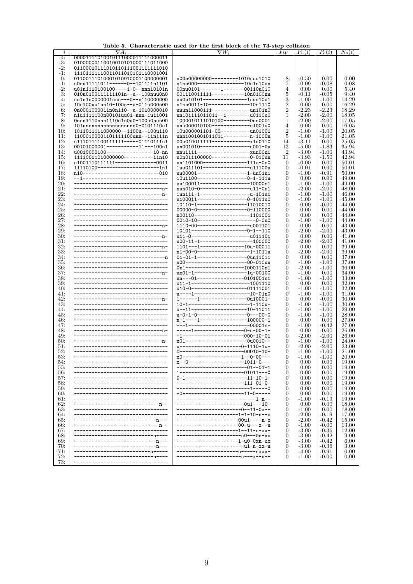| $\imath$ | $\nabla A_i$                          | $\nabla W_i$                             | $F_W$            | $P_u(i)$ | $P_c(i)$        | $N_s(i)$ |
|----------|---------------------------------------|------------------------------------------|------------------|----------|-----------------|----------|
| $-4:$    | 00001111010010111000011111000011      |                                          |                  |          |                 |          |
| -3:      | 01000000110010010101000111011000      |                                          |                  |          |                 |          |
| $-2:$    | 01100010111010110111001111111010      |                                          |                  |          |                 |          |
| $-1:$    | 111011111110011011010101110001001     |                                          |                  |          |                 |          |
| 0:       | 01100111010001010010001100000001      | n00n00000000--------1010nuu1010          | 8                | $-0.50$  | 0.00            | 0.00     |
| 1:       | u0nu11111011------0--101111n1101      | n1nu000----------------10u1n10un         | 7                | $-0.09$  | -0.08           | 0.08     |
| 2:       | u01n1110100100----1-0--nnn10101n      | 00nu0101-------1-------00110u010         | 4                | 0.00     | 0.00            | 5.40     |
| 3:       | 010u01001111111101n--u--100nuu0n0     | 001110011111-----------10n0100nu         | 5                | $-0.11$  | $-0.05$         | 9.40     |
| 4:       | nn1n1n0000001nnn---0--n110000000      | uu0u10101---------------1uuu10u1         | 3                | $-1.00$  | $-1.00$         | 14.29    |
| 5:       | 10u100uu1un10-100n--u-011u000u00      | n1nn0011-10--------------10n1110         | $\boldsymbol{2}$ | 0.00     |                 | 16.29    |
|          |                                       |                                          | $\overline{2}$   |          | 0.00<br>$-2.23$ |          |
| 6:       | 0n0001000011n0n110--u-1010000010      | uuun11000111--------------un101n0        |                  | $-2.23$  |                 | 18.29    |
| 7:       | n1u1111100n00101uu01-nnn-1u11001      | un101111011011--1--------u0110u0         | 1                | $-2.00$  | $-2.00$         | 18.05    |
| 8:       | Onnn1110nnn1110u1n0u0-100u0nun00      | 1000010111010100--------0un0001          | 1                | $-2.00$  | $-2.00$         | 17.05    |
| 9:       | 101unnnnnnnnnnnnnnnn0-0101110u1       | unu000010100----------------1001u0       | 4                | 0.00     | 0.00            | 16.05    |
| 10:      | 1011011111000000--1100u--100u110      | 10u000001101-00----------un01001         | $\overline{2}$   | $-1.00$  | $-1.00$         | 20.05    |
| 11:      | 11000100001101111100unn--11n111n      | unn1001001011011---------n-1000n         | 5                | $-1.00$  | $-1.00$         | 21.05    |
| 12:      | n1110111100111111-----01110111n1      | 00u010011111--------------x1u0110        | 14               | $-3.11$  | 0.00            | 25.05    |
| 13:      | 00101000001-----------11---100n1      | un001010----------------------001-0u     | 13               | $-5.00$  | $-1.83$         | 35.94    |
| 14:      | u0010000100----------------10-nn      | nnu1111---------------------xun00n1      | $\boldsymbol{2}$ | $-3.00$  | $-1.00$         | 43.94    |
| 15:      | 11110011010000000----------11n10      | u0n011100000-------------0-010un         | 11               | $-3.93$  | $-1.50$         | 42.94    |
| 16:      | n1001110111111--------------0011      | nn1101000---------------111u-0n0         | 0                | $-0.00$  | 0.00            | 50.01    |
| 17:      | $11110100$ ----------------------1n1  | 1uu011101-----------------u11100u        | $\mathbf{0}$     | $-0.01$  | 0.00            | 50.01    |
| 18:      | n10--------------------------010      | uu00001-----------------1-un01n1         | 0                | $-1.00$  | $-0.91$         | 50.00    |
| 19:      | --1------------------------------     | 10u1100-----------------0-1-111u         | 0                | 0.00     | 0.00            | 49.00    |
| 20:      | ----------------------------          | uu100011-----------------10000n1         | $\overline{0}$   | $-1.00$  | $-1.00$         | 49.00    |
| 21:      | --------------------------------p-    | nun010-0-------------------u11-0n1       | 0                | $-2.00$  | $-2.00$         | 48.00    |
|          |                                       |                                          |                  |          |                 |          |
| 22:      |                                       | $1un111-1-----------u-101u1$             | 0                | $-1.00$  | $-1.00$         | 46.00    |
| 23:      |                                       | u100011-----------------0-1011u0         | 0                | $-1.00$  | $-1.00$         | 45.00    |
| 24:      | ---------------------------------     | 10110-1-----------------11010010         | 0                | 0.00     | $-0.00$         | 44.00    |
| 25:      | ---------------------------           | 00000-0-----------------0-110000         | 0                | 0.00     | 0.00            | 44.00    |
| 26:      | ---------------------------------     | n00110-------------------1101001         | 0                | 0.00     | 0.00            | 44.00    |
| 27:      | ---------------------                 | $0010 - 10$ --------------------0-0n0    | 0                | $-1.00$  | $-1.00$         | 44.00    |
| 28:      |                                       | $1110-00$ -----------------------001101  | 0                | 0.00     | 0.00            | 43.00    |
| 29:      | --------------------------------      | $10101$ -------------------0-1--110      | $\overline{0}$   | $-2.00$  | $-2.00$         | 43.00    |
| 30:      |                                       | u11-0------------------------u011101     | $\mathbf{0}$     | 0.00     | 0.00            | 41.00    |
| 31:      | ---------------------------------     | u00-11-1------------------100000         | 0                | $-2.00$  | $-2.00$         | 41.00    |
| 32:      |                                       | 1101---1---------------10u-00011         | 0                | 0.00     | 0.00            | 39.00    |
| 33:      | --------------------------------      | n1-00-0-------------------1-1011u        | $\mathbf{0}$     | $-2.00$  | $-2.00$         | 39.00    |
| 34:      |                                       | $01-01-1-----$ ----------------0un11011  | $\mathbf{0}$     | 0.00     | 0.00            | 37.00    |
| 35:      | --------------------------            | n00---------------------00-010un         | $\mathbf{0}$     | $-1.00$  |                 |          |
|          | ---------------------------           |                                          |                  |          | $-1.00$         | 37.00    |
| 36:      |                                       | $0x1$ --------------------1000110n1      | $\mathbf{0}$     | $-2.00$  | $-1.00$         | 36.00    |
| 37:      |                                       | ux01-1------------------1u-00100         | 0                | $-1.00$  | 0.00            | 34.00    |
| 38:      | --------------------------------      | $nn---01---------0101001n1$              | 0                | $-1.00$  | $-1.00$         | 33.00    |
| 39:      |                                       | $x11-1$ ---------------------1001110     | $\overline{0}$   | 0.00     | 0.00            | 32.00    |
| 40:      | -------------------------             | x10-0--------------------01111001        | 0                | $-1.00$  | $-1.00$         | 32.00    |
| 41:      | --------------------------            | $u$ ----1-------------------10-01n0      | 0                | $-1.00$  | $-1.00$         | 31.00    |
| 42:      |                                       | 1------1----------------0u10001-         | 0                | 0.00     | $-0.00$         | 30.00    |
| 43:      | ----------------------------          | $10-1$ ----------------------1-110u-     | $\overline{0}$   | $-1.00$  | $-1.00$         | 30.00    |
| 44:      |                                       | x--11--------------------10-11011        | 0                | $-1.00$  | $-1.00$         | 29.00    |
| 45:      | ---------------------------           | u-0-1-0-----------------0---00-0         | 0                | $-1.00$  | $-1.00$         | 28.00    |
| 46:      |                                       | n-1----1-----------------100000-1        | 0                | 0.00     | 0.00            | 27.00    |
| 47:      | --------------------------------      | ---1---------------------00001n-         | $\overline{0}$   | $-1.00$  | $-0.42$         | 27.00    |
| 48.      |                                       | $---1------------0-u-00-1-$              | $\mathbf{0}$     | 0.00     | $-0.00$         | 26.00    |
| 49.      | --------------------------------      | $-1$ ---------------------000-10-01      | $\mathbf{0}$     | $-2.00$  | $-2.00$         | 26.00    |
| 50:      |                                       | x01----------------------0u0010--        | $\overline{0}$   | $-1.00$  | $-1.00$         | 24.00    |
|          | ---------------------------------     | u---------------------0-1110-1u-         | 0                | $-2.00$  |                 |          |
| 51:      | ---------------------------           |                                          |                  |          | $-2.00$         | 23.00    |
| 52:      |                                       | 0----------------------00010-10-         | $\mathbf{0}$     | $-1.00$  | $-1.00$         | 21.00    |
| 53.      | ---------------------------           | $x0$ --------------------1--0-00---      | 0                | $-1.00$  | $-1.00$         | 20.00    |
| 54.      |                                       | x--0-------------------1011-0---         | $\mathbf{0}$     | 0.00     | 0.00            | 19.00    |
| 55:      |                                       | --------------------01--01-1             | $\mathbf{0}$     | 0.00     | 0.00            | 19.00    |
| 56:      |                                       | $1 - -$<br>--------------------01011---0 | 0                | 0.00     | 0.00            | 19.00    |
| 57:      |                                       | 0-1---------------------11-10-1-         | 0                | 0.00     | 0.00            | 19.00    |
| 58:      |                                       | ------------------111-01-0-              | $\overline{0}$   | 0.00     | 0.00            | 19.00    |
| 59:      |                                       | -------------------------1-----0         | 0                | 0.00     | 0.00            | 19.00    |
| 60:      |                                       | -0---------------------11-0-----         | 0                | 0.00     | 0.00            | 19.00    |
| 61:      |                                       | ------------------------1-n--            | 0                | $-1.00$  | -0.19           | 19.00    |
| 62:      | ----------- <u>n</u> --               | ------------------0u1---10-              | $\overline{0}$   | 0.00     | 0.00            | 18.00    |
| 63:      |                                       | --------------0--11-0x--                 | $\theta$         | $-1.00$  | 0.00            | 18.00    |
| 64:      |                                       | ------------------1-1-10-n--x            | 0                | $-2.00$  | $-0.19$         | 17.00    |
| 65:      |                                       | -----------00u1----n-x                   | $\overline{0}$   | $-2.00$  | $-0.42$         | 15.00    |
| 66:      | -------------- <u>n</u> --            | ------------------00-u---x--u            | $\mathbf{0}$     | $-1.00$  | $-0.00$         | 13.00    |
| 67:      |                                       | -----------------1--11-n-xx-             | 0                | $-3.00$  | $-0.36$         | 12.00    |
| 68:      | ---------------------- <u>n</u> ----  | -----------------------u0---0n-xx        | $\mathbf{0}$     | $-3.00$  | $-0.42$         | 9.00     |
|          |                                       |                                          | $\mathbf{0}$     |          |                 |          |
| 69:      | --------------- <u>n</u> ---          | ----------------1-u0-0xn-ux              |                  | $-3.00$  | $-0.42$         | 6.00     |
| 70:      | ------------------------ <u>n</u> --- | -------------------u1-n-xx-u             | $\mathbf{0}$     | $-3.00$  | $-0.36$         | 3.00     |
| 71:      | ----------- <u>n</u> -----            | --------------u-----nxxx-                | $\mathbf{0}$     | $-4.00$  | $-0.91$         | 0.00     |
| 72:      | --------------------- <u>n</u> ----   | -----------------u---x--u--              | $\overline{0}$   | $-1.00$  | $-0.00$         | 0.00     |
| 73:      |                                       |                                          |                  |          |                 |          |

Table 5. Characteristic used for the first block of the 73-step collision